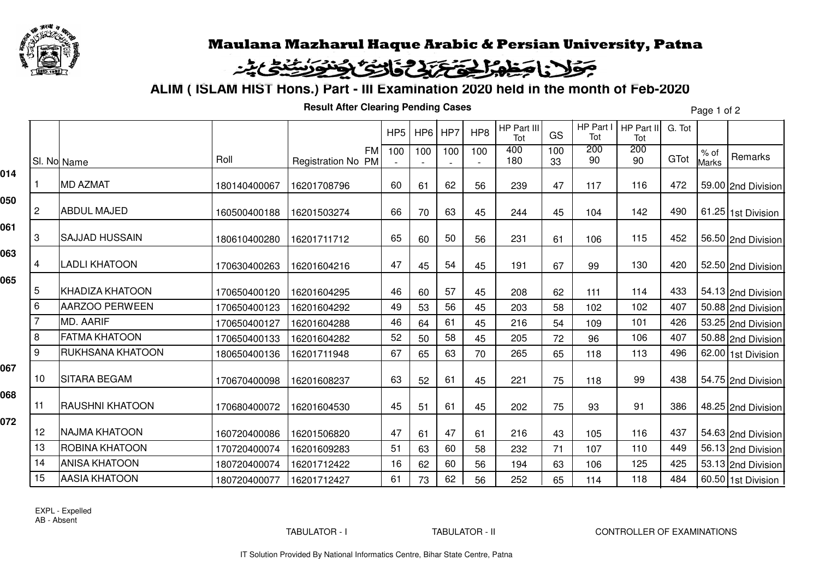

## Maulana Mazharul Haque Arabic & Persian University, Patna

## احَظِمْ الْحَقَّ عَنَدْ وَالْتَكَاثِلُونَ يُشْتَدَى بِنْد جولا

**ALIM ( ISLAM HIST Hons.) Part - III Examination 2020 held in the month of Feb-2020**

**Result After Clearing Pending Cases**

Page 1 of 2

|     |    |                        |              |                                 | HP <sub>5</sub> | HP6 | HP7 | HP8 | HP Part III<br>Tot | GS        | HP Part I<br>Tot | HP Part II<br>Tot | G. Tot |                      |                    |
|-----|----|------------------------|--------------|---------------------------------|-----------------|-----|-----|-----|--------------------|-----------|------------------|-------------------|--------|----------------------|--------------------|
|     |    | SI. No Name            | Roll         | <b>FM</b><br>Registration No PM | 100             | 100 | 100 | 100 | 400<br>180         | 100<br>33 | 200<br>90        | 200<br>90         | GTot   | % of<br><b>Marks</b> | Remarks            |
| 014 |    | <b>MD AZMAT</b>        | 180140400067 | 16201708796                     | 60              | 61  | 62  | 56  | 239                | 47        | 117              | 116               | 472    |                      | 59.00 2nd Division |
| 050 | 2  | <b>ABDUL MAJED</b>     | 160500400188 | 16201503274                     | 66              | 70  | 63  | 45  | 244                | 45        | 104              | 142               | 490    |                      | 61.25 1st Division |
| 061 | 3  | <b>SAJJAD HUSSAIN</b>  | 180610400280 | 16201711712                     | 65              | 60  | 50  | 56  | 231                | 61        | 106              | 115               | 452    |                      | 56.50 2nd Division |
| 063 | 4  | <b>LADLI KHATOON</b>   | 170630400263 | 16201604216                     | 47              | 45  | 54  | 45  | 191                | 67        | 99               | 130               | 420    |                      | 52.50 2nd Division |
| 065 | 5  | <b>KHADIZA KHATOON</b> | 170650400120 | 16201604295                     | 46              | 60  | 57  | 45  | 208                | 62        | 111              | 114               | 433    |                      | 54.13 2nd Division |
|     | 6  | <b>AARZOO PERWEEN</b>  | 170650400123 | 16201604292                     | 49              | 53  | 56  | 45  | 203                | 58        | 102              | 102               | 407    |                      | 50.88 2nd Division |
|     |    | MD. AARIF              | 170650400127 | 16201604288                     | 46              | 64  | 61  | 45  | 216                | 54        | 109              | 101               | 426    |                      | 53.25 2nd Division |
|     | 8  | <b>FATMA KHATOON</b>   | 170650400133 | 16201604282                     | 52              | 50  | 58  | 45  | 205                | 72        | 96               | 106               | 407    |                      | 50.88 2nd Division |
|     | 9  | RUKHSANA KHATOON       | 180650400136 | 16201711948                     | 67              | 65  | 63  | 70  | 265                | 65        | 118              | 113               | 496    |                      | 62.00 1st Division |
| 067 | 10 | <b>SITARA BEGAM</b>    | 170670400098 | 16201608237                     | 63              | 52  | 61  | 45  | 221                | 75        | 118              | 99                | 438    |                      | 54.75 2nd Division |
| 068 | 11 | <b>RAUSHNI KHATOON</b> | 170680400072 | 16201604530                     | 45              | 51  | 61  | 45  | 202                | 75        | 93               | 91                | 386    |                      | 48.25 2nd Division |
| 072 | 12 | <b>NAJMA KHATOON</b>   | 160720400086 | 16201506820                     | 47              | 61  | 47  | 61  | 216                | 43        | 105              | 116               | 437    |                      | 54.63 2nd Division |
|     | 13 | ROBINA KHATOON         | 170720400074 | 16201609283                     | 51              | 63  | 60  | 58  | 232                | 71        | 107              | 110               | 449    |                      | 56.13 2nd Division |
|     | 14 | <b>ANISA KHATOON</b>   | 180720400074 | 16201712422                     | 16              | 62  | 60  | 56  | 194                | 63        | 106              | 125               | 425    |                      | 53.13 2nd Division |
|     | 15 | <b>AASIA KHATOON</b>   | 180720400077 | 16201712427                     | 61              | 73  | 62  | 56  | 252                | 65        | 114              | 118               | 484    |                      | 60.50 1st Division |
|     |    |                        |              |                                 |                 |     |     |     |                    |           |                  |                   |        |                      |                    |

EXPL - ExpelledAB - Absent

TABULATOR - I TABULATOR - II CONTROLLER OF EXAMINATIONS